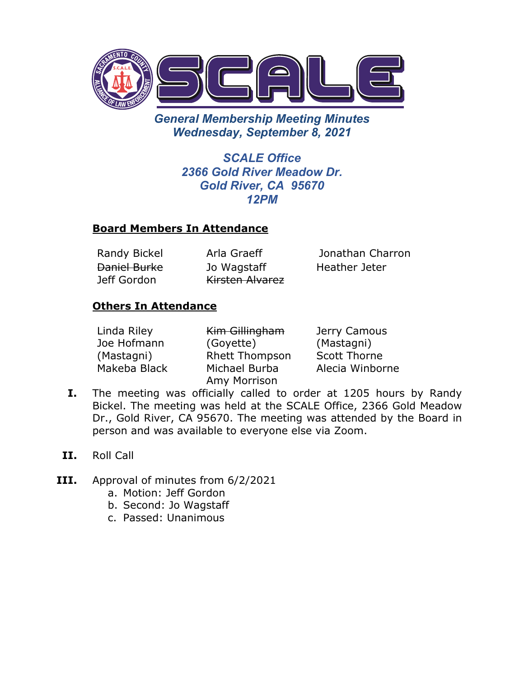

*General Membership Meeting Minutes Wednesday, September 8, 2021*

> *SCALE Office 2366 Gold River Meadow Dr. Gold River, CA 95670 12PM*

### **Board Members In Attendance**

Daniel Burke Jeff Gordon

Jo Wagstaff Kirsten Alvarez

Randy Bickel Arla Graeff Jonathan Charron Heather Jeter

### **Others In Attendance**

| Linda Riley  | Kim Gillingham        | Jerry Camous        |
|--------------|-----------------------|---------------------|
| Joe Hofmann  | (Goyette)             | (Mastagni)          |
| (Mastagni)   | <b>Rhett Thompson</b> | <b>Scott Thorne</b> |
| Makeba Black | Michael Burba         | Alecia Winborne     |
|              | Amy Morrison          |                     |

- **I.** The meeting was officially called to order at 1205 hours by Randy Bickel. The meeting was held at the SCALE Office, 2366 Gold Meadow Dr., Gold River, CA 95670. The meeting was attended by the Board in person and was available to everyone else via Zoom.
- **II.** Roll Call
- **III.** Approval of minutes from 6/2/2021
	- a. Motion: Jeff Gordon
	- b. Second: Jo Wagstaff
	- c. Passed: Unanimous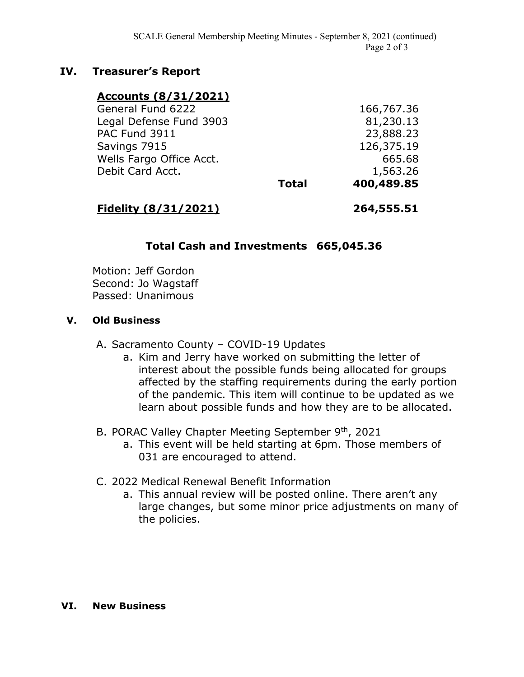### **IV. Treasurer's Report**

#### **Accounts (8/31/2021)**

| 400,489.85   |
|--------------|
| 1,563.26     |
| 665.68       |
| 126,375.19   |
| 23,888.23    |
| 81,230.13    |
| 166,767.36   |
| <b>Total</b> |

### **Fidelity (8/31/2021) 264,555.51**

## **Total Cash and Investments 665,045.36**

Motion: Jeff Gordon Second: Jo Wagstaff Passed: Unanimous

#### **V. Old Business**

- A. Sacramento County COVID-19 Updates
	- a. Kim and Jerry have worked on submitting the letter of interest about the possible funds being allocated for groups affected by the staffing requirements during the early portion of the pandemic. This item will continue to be updated as we learn about possible funds and how they are to be allocated.
- B. PORAC Valley Chapter Meeting September 9th, 2021
	- a. This event will be held starting at 6pm. Those members of 031 are encouraged to attend.
- C. 2022 Medical Renewal Benefit Information
	- a. This annual review will be posted online. There aren't any large changes, but some minor price adjustments on many of the policies.

#### **VI. New Business**